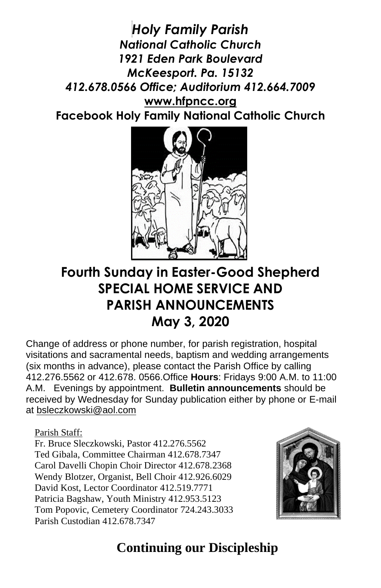*Holy Family Parish National Catholic Church 1921 Eden Park Boulevard McKeesport. Pa. 15132 412.678.0566 Office; Auditorium 412.664.7009* **[www.hfpncc.org](http://www.hfpncc.org/) Facebook Holy Family National Catholic Church**



# **Fourth Sunday in Easter-Good Shepherd SPECIAL HOME SERVICE AND PARISH ANNOUNCEMENTS May 3, 2020**

Change of address or phone number, for parish registration, hospital visitations and sacramental needs, baptism and wedding arrangements (six months in advance), please contact the Parish Office by calling 412.276.5562 or 412.678. 0566.Office **Hours**: Fridays 9:00 A.M. to 11:00 A.M. Evenings by appointment. **Bulletin announcements** should be received by Wednesday for Sunday publication either by phone or E-mail at [bsleczkowski@aol.com](mailto:bsleczkowski@aol.com)

Parish Staff:

Fr. Bruce Sleczkowski, Pastor 412.276.5562 Ted Gibala, Committee Chairman 412.678.7347 Carol Davelli Chopin Choir Director 412.678.2368 Wendy Blotzer, Organist, Bell Choir 412.926.6029 David Kost, Lector Coordinator 412.519.7771 Patricia Bagshaw, Youth Ministry 412.953.5123 Tom Popovic, Cemetery Coordinator 724.243.3033 Parish Custodian 412.678.7347



# **Continuing our Discipleship**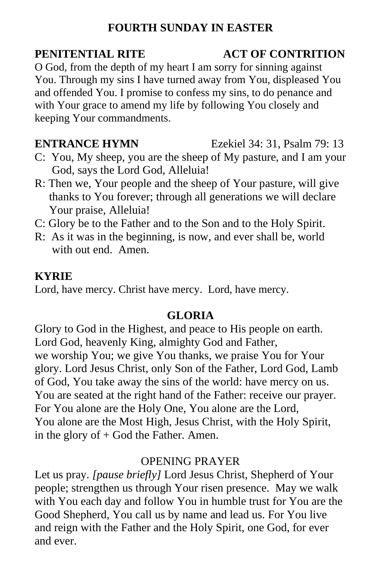# **FOURTH SUNDAY IN EASTER**

O God, from the depth of my heart I am sorry for sinning against You. Through my sins I have turned away from You, displeased You and offended You. I promise to confess my sins, to do penance and with Your grace to amend my life by following You closely and keeping Your commandments.

- C: You, My sheep, you are the sheep of My pasture, and I am your God, says the Lord God, Alleluia!
- R: Then we, Your people and the sheep of Your pasture, will give thanks to You forever; through all generations we will declare Your praise, Alleluia!
- C: Glory be to the Father and to the Son and to the Holy Spirit.
- R: As it was in the beginning, is now, and ever shall be, world with out end. Amen.

### **KYRIE**

Lord, have mercy. Christ have mercy. Lord, have mercy.

### **GLORIA**

Glory to God in the Highest, and peace to His people on earth. Lord God, heavenly King, almighty God and Father, we worship You; we give You thanks, we praise You for Your glory. Lord Jesus Christ, only Son of the Father, Lord God, Lamb of God, You take away the sins of the world: have mercy on us. You are seated at the right hand of the Father: receive our prayer. For You alone are the Holy One, You alone are the Lord, You alone are the Most High, Jesus Christ, with the Holy Spirit, in the glory of  $+$  God the Father. Amen.

### OPENING PRAYER

Let us pray. *[pause briefly]* Lord Jesus Christ, Shepherd of Your people; strengthen us through Your risen presence. May we walk with You each day and follow You in humble trust for You are the Good Shepherd, You call us by name and lead us. For You live and reign with the Father and the Holy Spirit, one God, for ever and ever.

## **PENITENTIAL RITE ACT OF CONTRITION**

**ENTRANCE HYMN** Ezekiel 34: 31, Psalm 79: 13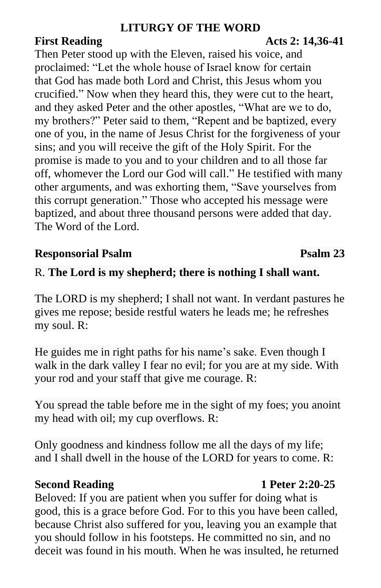# **LITURGY OF THE WORD**

## Then Peter stood up with the Eleven, raised his voice, and proclaimed: "Let the whole house of Israel know for certain that God has made both Lord and Christ, this Jesus whom you crucified." Now when they heard this, they were cut to the heart, and they asked Peter and the other apostles, "What are we to do, my brothers?" Peter said to them, "Repent and be baptized, every one of you, in the name of Jesus Christ for the forgiveness of your sins; and you will receive the gift of the Holy Spirit. For the promise is made to you and to your children and to all those far off, whomever the Lord our God will call." He testified with many other arguments, and was exhorting them, "Save yourselves from this corrupt generation." Those who accepted his message were baptized, and about three thousand persons were added that day. The Word of the Lord.

# **Responsorial Psalm 23**

# R. **The Lord is my shepherd; there is nothing I shall want.**

The LORD is my shepherd; I shall not want. In verdant pastures he gives me repose; beside restful waters he leads me; he refreshes my soul. R:

He guides me in right paths for his name's sake. Even though I walk in the dark valley I fear no evil; for you are at my side. With your rod and your staff that give me courage. R:

You spread the table before me in the sight of my foes; you anoint my head with oil; my cup overflows. R:

Only goodness and kindness follow me all the days of my life; and I shall dwell in the house of the LORD for years to come. R:

### **Second Reading 1 Peter 2:20-25**

Beloved: If you are patient when you suffer for doing what is good, this is a grace before God. For to this you have been called, because Christ also suffered for you, leaving you an example that you should follow in his footsteps. He committed no sin, and no deceit was found in his mouth. When he was insulted, he returned

# **First Reading 2: 14,36-41**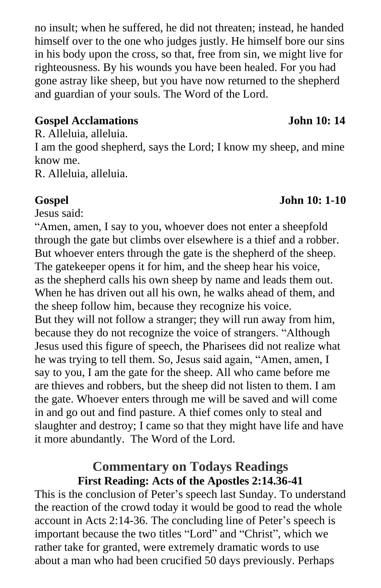no insult; when he suffered, he did not threaten; instead, he handed himself over to the one who judges justly. He himself bore our sins in his body upon the cross, so that, free from sin, we might live for righteousness. By his wounds you have been healed. For you had gone astray like sheep, but you have now returned to the shepherd and guardian of your souls. The Word of the Lord.

### **Gospel Acclamations John 10: 14**

R. Alleluia, alleluia. I am the good shepherd, says the Lord; I know my sheep, and mine know me. R. Alleluia, alleluia.

Jesus said:

"Amen, amen, I say to you, whoever does not enter a sheepfold through the gate but climbs over elsewhere is a thief and a robber. But whoever enters through the gate is the shepherd of the sheep. The gatekeeper opens it for him, and the sheep hear his voice, as the shepherd calls his own sheep by name and leads them out. When he has driven out all his own, he walks ahead of them, and the sheep follow him, because they recognize his voice. But they will not follow a stranger; they will run away from him, because they do not recognize the voice of strangers. "Although Jesus used this figure of speech, the Pharisees did not realize what he was trying to tell them. So, Jesus said again, "Amen, amen, I say to you, I am the gate for the sheep. All who came before me are thieves and robbers, but the sheep did not listen to them. I am the gate. Whoever enters through me will be saved and will come in and go out and find pasture. A thief comes only to steal and slaughter and destroy; I came so that they might have life and have it more abundantly. The Word of the Lord.

## **Commentary on Todays Readings First Reading: Acts of the Apostles 2:14.36-41**

This is the conclusion of Peter's speech last Sunday. To understand the reaction of the crowd today it would be good to read the whole account in Acts 2:14-36. The concluding line of Peter's speech is important because the two titles "Lord" and "Christ", which we rather take for granted, were extremely dramatic words to use about a man who had been crucified 50 days previously. Perhaps

# **Gospel John 10: 1-10**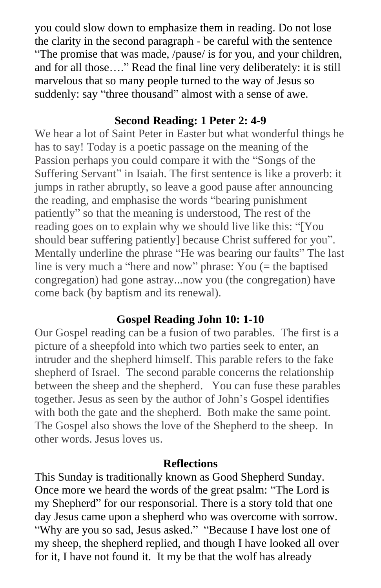you could slow down to emphasize them in reading. Do not lose the clarity in the second paragraph - be careful with the sentence "The promise that was made, /pause/ is for you, and your children, and for all those…." Read the final line very deliberately: it is still marvelous that so many people turned to the way of Jesus so suddenly: say "three thousand" almost with a sense of awe.

## **Second Reading: 1 Peter 2: 4-9**

We hear a lot of Saint Peter in Easter but what wonderful things he has to say! Today is a poetic passage on the meaning of the Passion perhaps you could compare it with the "Songs of the Suffering Servant" in Isaiah. The first sentence is like a proverb: it jumps in rather abruptly, so leave a good pause after announcing the reading, and emphasise the words "bearing punishment patiently" so that the meaning is understood, The rest of the reading goes on to explain why we should live like this: "[You should bear suffering patiently] because Christ suffered for you". Mentally underline the phrase "He was bearing our faults" The last line is very much a "here and now" phrase: You (= the baptised congregation) had gone astray...now you (the congregation) have come back (by baptism and its renewal).

# **Gospel Reading John 10: 1-10**

Our Gospel reading can be a fusion of two parables. The first is a picture of a sheepfold into which two parties seek to enter, an intruder and the shepherd himself. This parable refers to the fake shepherd of Israel. The second parable concerns the relationship between the sheep and the shepherd. You can fuse these parables together. Jesus as seen by the author of John's Gospel identifies with both the gate and the shepherd. Both make the same point. The Gospel also shows the love of the Shepherd to the sheep. In other words. Jesus loves us.

# **Reflections**

This Sunday is traditionally known as Good Shepherd Sunday. Once more we heard the words of the great psalm: "The Lord is my Shepherd" for our responsorial. There is a story told that one day Jesus came upon a shepherd who was overcome with sorrow. "Why are you so sad, Jesus asked." "Because I have lost one of my sheep, the shepherd replied, and though I have looked all over for it, I have not found it. It my be that the wolf has already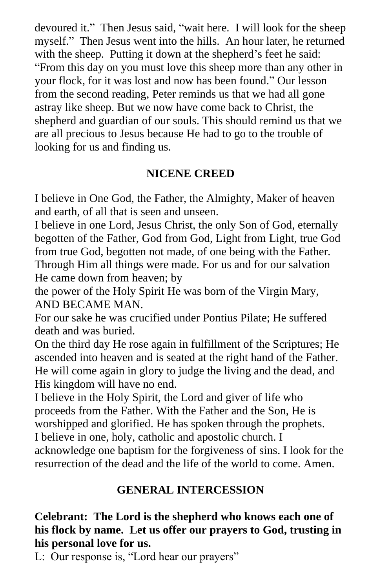devoured it." Then Jesus said, "wait here. I will look for the sheep myself." Then Jesus went into the hills. An hour later, he returned with the sheep. Putting it down at the shepherd's feet he said: "From this day on you must love this sheep more than any other in your flock, for it was lost and now has been found." Our lesson from the second reading, Peter reminds us that we had all gone astray like sheep. But we now have come back to Christ, the shepherd and guardian of our souls. This should remind us that we are all precious to Jesus because He had to go to the trouble of looking for us and finding us.

# **NICENE CREED**

I believe in One God, the Father, the Almighty, Maker of heaven and earth, of all that is seen and unseen.

I believe in one Lord, Jesus Christ, the only Son of God, eternally begotten of the Father, God from God, Light from Light, true God from true God, begotten not made, of one being with the Father. Through Him all things were made. For us and for our salvation He came down from heaven; by

the power of the Holy Spirit He was born of the Virgin Mary, AND BECAME MAN.

For our sake he was crucified under Pontius Pilate; He suffered death and was buried.

On the third day He rose again in fulfillment of the Scriptures; He ascended into heaven and is seated at the right hand of the Father. He will come again in glory to judge the living and the dead, and His kingdom will have no end.

I believe in the Holy Spirit, the Lord and giver of life who proceeds from the Father. With the Father and the Son, He is worshipped and glorified. He has spoken through the prophets. I believe in one, holy, catholic and apostolic church. I

acknowledge one baptism for the forgiveness of sins. I look for the resurrection of the dead and the life of the world to come. Amen.

# **GENERAL INTERCESSION**

# **Celebrant: The Lord is the shepherd who knows each one of his flock by name. Let us offer our prayers to God, trusting in his personal love for us.**

L: Our response is, "Lord hear our prayers"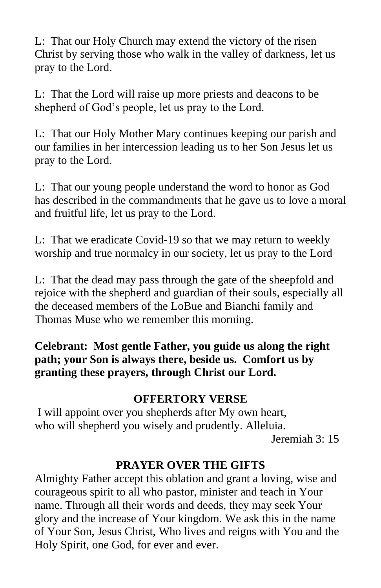L: That our Holy Church may extend the victory of the risen Christ by serving those who walk in the valley of darkness, let us pray to the Lord.

L: That the Lord will raise up more priests and deacons to be shepherd of God's people, let us pray to the Lord.

L: That our Holy Mother Mary continues keeping our parish and our families in her intercession leading us to her Son Jesus let us pray to the Lord.

L: That our young people understand the word to honor as God has described in the commandments that he gave us to love a moral and fruitful life, let us pray to the Lord.

L: That we eradicate Covid-19 so that we may return to weekly worship and true normalcy in our society, let us pray to the Lord

L: That the dead may pass through the gate of the sheepfold and rejoice with the shepherd and guardian of their souls, especially all the deceased members of the LoBue and Bianchi family and Thomas Muse who we remember this morning.

**Celebrant: Most gentle Father, you guide us along the right path; your Son is always there, beside us. Comfort us by granting these prayers, through Christ our Lord.** 

# **OFFERTORY VERSE**

I will appoint over you shepherds after My own heart, who will shepherd you wisely and prudently. Alleluia. Jeremiah 3: 15

# **PRAYER OVER THE GIFTS**

Almighty Father accept this oblation and grant a loving, wise and courageous spirit to all who pastor, minister and teach in Your name. Through all their words and deeds, they may seek Your glory and the increase of Your kingdom. We ask this in the name of Your Son, Jesus Christ, Who lives and reigns with You and the Holy Spirit, one God, for ever and ever.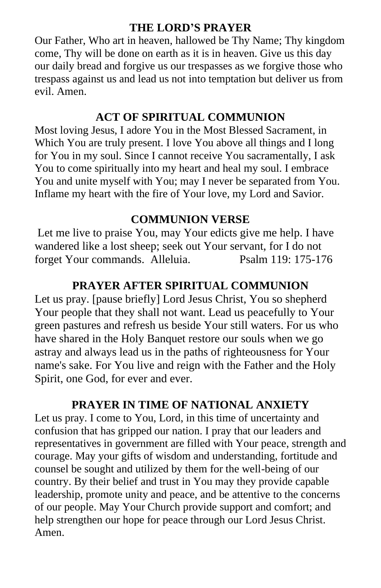## **THE LORD'S PRAYER**

Our Father, Who art in heaven, hallowed be Thy Name; Thy kingdom come, Thy will be done on earth as it is in heaven. Give us this day our daily bread and forgive us our trespasses as we forgive those who trespass against us and lead us not into temptation but deliver us from evil. Amen.

## **ACT OF SPIRITUAL COMMUNION**

Most loving Jesus, I adore You in the Most Blessed Sacrament, in Which You are truly present. I love You above all things and I long for You in my soul. Since I cannot receive You sacramentally, I ask You to come spiritually into my heart and heal my soul. I embrace You and unite myself with You; may I never be separated from You. Inflame my heart with the fire of Your love, my Lord and Savior.

# **COMMUNION VERSE**

Let me live to praise You, may Your edicts give me help. I have wandered like a lost sheep; seek out Your servant, for I do not forget Your commands. Alleluia. Psalm 119: 175-176

# **PRAYER AFTER SPIRITUAL COMMUNION**

Let us pray. [pause briefly] Lord Jesus Christ, You so shepherd Your people that they shall not want. Lead us peacefully to Your green pastures and refresh us beside Your still waters. For us who have shared in the Holy Banquet restore our souls when we go astray and always lead us in the paths of righteousness for Your name's sake. For You live and reign with the Father and the Holy Spirit, one God, for ever and ever.

# **PRAYER IN TIME OF NATIONAL ANXIETY**

Let us pray. I come to You, Lord, in this time of uncertainty and confusion that has gripped our nation. I pray that our leaders and representatives in government are filled with Your peace, strength and courage. May your gifts of wisdom and understanding, fortitude and counsel be sought and utilized by them for the well-being of our country. By their belief and trust in You may they provide capable leadership, promote unity and peace, and be attentive to the concerns of our people. May Your Church provide support and comfort; and help strengthen our hope for peace through our Lord Jesus Christ. Amen.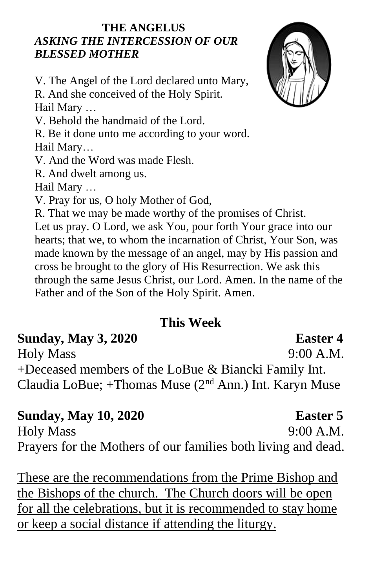### **THE ANGELUS** *ASKING THE INTERCESSION OF OUR BLESSED MOTHER*

V. The Angel of the Lord declared unto Mary, R. And she conceived of the Holy Spirit. Hail Mary … V. Behold the handmaid of the Lord. R. Be it done unto me according to your word. Hail Mary… V. And the Word was made Flesh. R. And dwelt among us. Hail Mary … V. Pray for us, O holy Mother of God, R. That we may be made worthy of the promises of Christ. Let us pray. O Lord, we ask You, pour forth Your grace into our

hearts; that we, to whom the incarnation of Christ, Your Son, was made known by the message of an angel, may by His passion and cross be brought to the glory of His Resurrection. We ask this through the same Jesus Christ, our Lord. Amen. In the name of the Father and of the Son of the Holy Spirit. Amen.

# **This Week**

**Sunday, May 3, 2020 Easter 4** Holy Mass 9:00 A.M. +Deceased members of the LoBue & Biancki Family Int. Claudia LoBue; +Thomas Muse (2nd Ann.) Int. Karyn Muse

# **Sunday, May 10, 2020 Easter 5**

Holy Mass 9:00 A.M. Prayers for the Mothers of our families both living and dead.

These are the recommendations from the Prime Bishop and the Bishops of the church. The Church doors will be open for all the celebrations, but it is recommended to stay home or keep a social distance if attending the liturgy.

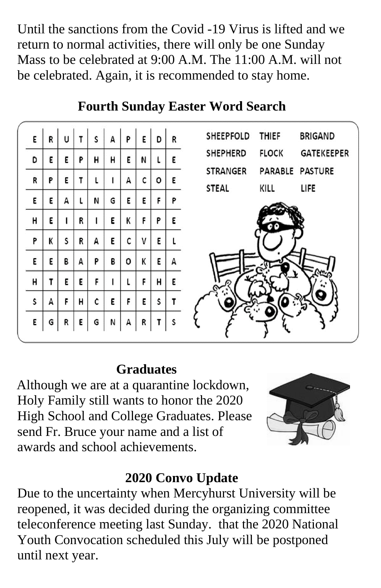Until the sanctions from the Covid -19 Virus is lifted and we return to normal activities, there will only be one Sunday Mass to be celebrated at 9:00 A.M. The 11:00 A.M. will not be celebrated. Again, it is recommended to stay home.

|   |                       |                  |                  |             |                  |                       |                       |                       | THIEF<br><b>BRIGAND</b><br>SHEEPFOLD                 |
|---|-----------------------|------------------|------------------|-------------|------------------|-----------------------|-----------------------|-----------------------|------------------------------------------------------|
|   |                       |                  |                  |             |                  |                       |                       |                       | <b>FLOCK</b><br><b>GATEKEEPER</b><br><b>SHEPHERD</b> |
|   |                       |                  |                  |             |                  |                       |                       |                       | PARABLE PASTURE<br><b>STRANGER</b>                   |
|   |                       |                  |                  |             |                  |                       |                       |                       | <b>STEAL</b><br>KILL<br>LIFE                         |
|   |                       |                  |                  |             |                  |                       |                       |                       |                                                      |
| К | S                     | R                | А                | E           | C                | V                     | Ε                     |                       |                                                      |
| E | В                     | А                | P                | В           | о                | K                     | E                     | А                     |                                                      |
| т | Ε                     | E                | F                |             | L                | F                     | н                     | Ε                     |                                                      |
| А | F                     | н                | c                | Ε           | F                | Ε                     | S                     | T                     |                                                      |
| G | R                     | Ε                | G                | N           | А                | R                     |                       | S                     |                                                      |
|   | R<br>E<br>P<br>Ε<br>Ε | U<br>Ε<br>Ε<br>А | т<br>P<br>т<br>R | S<br>н<br>N | A<br>н<br>G<br>Ε | P<br>E<br>А<br>E<br>K | Ε<br>N<br>c<br>Ε<br>F | D<br>L<br>o<br>F<br>P | R<br>E<br>Ε<br>P<br>E                                |

# **Fourth Sunday Easter Word Search**

# **Graduates**

 Although we are at a quarantine lockdown, Holy Family still wants to honor the 2020 High School and College Graduates. Please send Fr. Bruce your name and a list of awards and school achievements.



# **2020 Convo Update**

Due to the uncertainty when Mercyhurst University will be reopened, it was decided during the organizing committee teleconference meeting last Sunday. that the 2020 National Youth Convocation scheduled this July will be postponed until next year.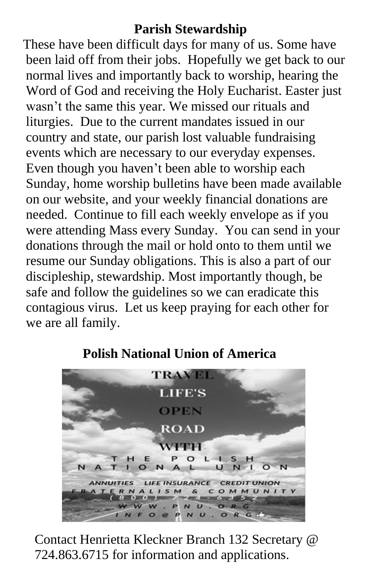# **Parish Stewardship**

 These have been difficult days for many of us. Some have been laid off from their jobs. Hopefully we get back to our normal lives and importantly back to worship, hearing the Word of God and receiving the Holy Eucharist. Easter just wasn't the same this year. We missed our rituals and liturgies. Due to the current mandates issued in our country and state, our parish lost valuable fundraising events which are necessary to our everyday expenses. Even though you haven't been able to worship each Sunday, home worship bulletins have been made available on our website, and your weekly financial donations are needed. Continue to fill each weekly envelope as if you were attending Mass every Sunday. You can send in your donations through the mail or hold onto to them until we resume our Sunday obligations. This is also a part of our discipleship, stewardship. Most importantly though, be safe and follow the guidelines so we can eradicate this contagious virus. Let us keep praying for each other for we are all family.



# **Polish National Union of America**

Contact Henrietta Kleckner Branch 132 Secretary @ 724.863.6715 for information and applications.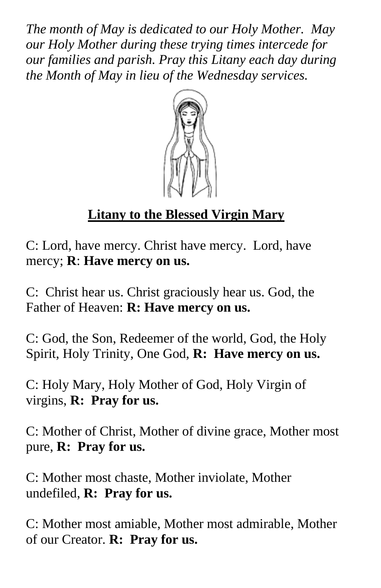*The month of May is dedicated to our Holy Mother. May our Holy Mother during these trying times intercede for our families and parish. Pray this Litany each day during the Month of May in lieu of the Wednesday services.*



# **Litany to the Blessed Virgin Mary**

C: Lord, have mercy. Christ have mercy. Lord, have mercy; **R**: **Have mercy on us.**

C: Christ hear us. Christ graciously hear us. God, the Father of Heaven: **R: Have mercy on us.** 

C: God, the Son, Redeemer of the world, God, the Holy Spirit, Holy Trinity, One God, **R: Have mercy on us.**

C: Holy Mary, Holy Mother of God, Holy Virgin of virgins, **R: Pray for us.**

C: Mother of Christ, Mother of divine grace, Mother most pure, **R: Pray for us.**

C: Mother most chaste, Mother inviolate, Mother undefiled, **R: Pray for us.**

C: Mother most amiable, Mother most admirable, Mother of our Creator. **R: Pray for us.**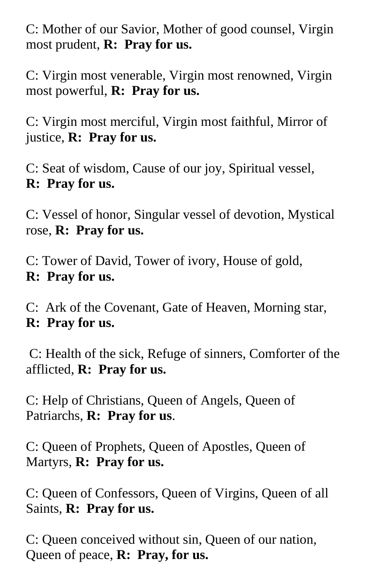C: Mother of our Savior, Mother of good counsel, Virgin most prudent, **R: Pray for us.**

C: Virgin most venerable, Virgin most renowned, Virgin most powerful, **R: Pray for us.**

C: Virgin most merciful, Virgin most faithful, Mirror of justice, **R: Pray for us.**

C: Seat of wisdom, Cause of our joy, Spiritual vessel, **R: Pray for us.**

C: Vessel of honor, Singular vessel of devotion, Mystical rose, **R: Pray for us.**

C: Tower of David, Tower of ivory, House of gold, **R: Pray for us.**

C: Ark of the Covenant, Gate of Heaven, Morning star, **R: Pray for us.**

C: Health of the sick, Refuge of sinners, Comforter of the afflicted, **R: Pray for us.** 

C: Help of Christians, Queen of Angels, Queen of Patriarchs, **R: Pray for us**.

C: Queen of Prophets, Queen of Apostles, Queen of Martyrs, **R: Pray for us.**

C: Queen of Confessors, Queen of Virgins, Queen of all Saints, **R: Pray for us.**

C: Queen conceived without sin, Queen of our nation, Queen of peace, **R: Pray, for us.**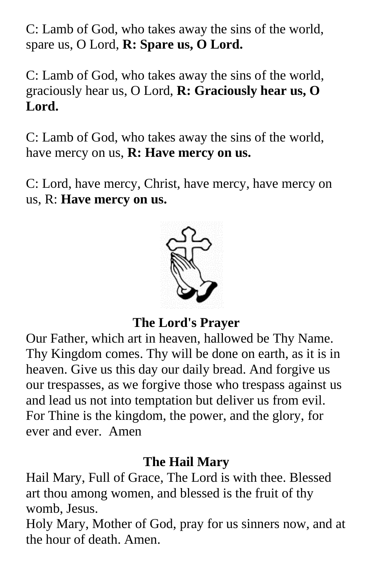C: Lamb of God, who takes away the sins of the world, spare us, O Lord, **R: Spare us, O Lord.**

C: Lamb of God, who takes away the sins of the world, graciously hear us, O Lord, **R: Graciously hear us, O Lord.** 

C: Lamb of God, who takes away the sins of the world, have mercy on us, **R: Have mercy on us.**

C: Lord, have mercy, Christ, have mercy, have mercy on us, R: **Have mercy on us.**



**The Lord's Prayer**

Our Father, which art in heaven, hallowed be Thy Name. Thy Kingdom comes. Thy will be done on earth, as it is in heaven. Give us this day our daily bread. And forgive us our trespasses, as we forgive those who trespass against us and lead us not into temptation but deliver us from evil. For Thine is the kingdom, the power, and the glory, for ever and ever. Amen

# **The Hail Mary**

Hail Mary, Full of Grace, The Lord is with thee. Blessed art thou among women, and blessed is the fruit of thy womb, Jesus.

Holy Mary, Mother of God, pray for us sinners now, and at the hour of death. Amen.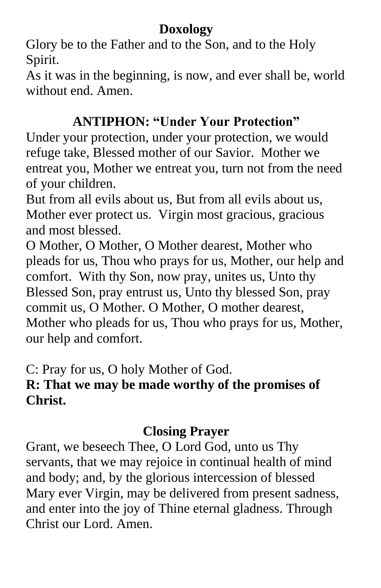# **Doxology**

Glory be to the Father and to the Son, and to the Holy Spirit.

As it was in the beginning, is now, and ever shall be, world without end. Amen.

# **ANTIPHON: "Under Your Protection"**

Under your protection, under your protection, we would refuge take, Blessed mother of our Savior. Mother we entreat you, Mother we entreat you, turn not from the need of your children.

But from all evils about us, But from all evils about us, Mother ever protect us. Virgin most gracious, gracious and most blessed.

O Mother, O Mother, O Mother dearest, Mother who pleads for us, Thou who prays for us, Mother, our help and comfort. With thy Son, now pray, unites us, Unto thy Blessed Son, pray entrust us, Unto thy blessed Son, pray commit us, O Mother. O Mother, O mother dearest, Mother who pleads for us, Thou who prays for us, Mother, our help and comfort.

C: Pray for us, O holy Mother of God.

# **R: That we may be made worthy of the promises of Christ.**

# **Closing Prayer**

Grant, we beseech Thee, O Lord God, unto us Thy servants, that we may rejoice in continual health of mind and body; and, by the glorious intercession of blessed Mary ever Virgin, may be delivered from present sadness, and enter into the joy of Thine eternal gladness. Through Christ our Lord. Amen.